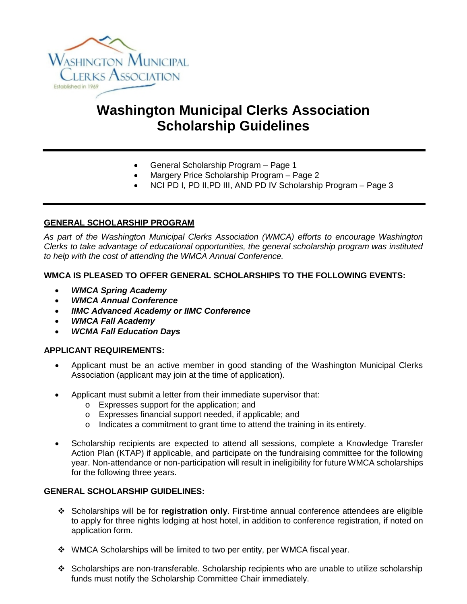

# **Washington Municipal Clerks Association Scholarship Guidelines**

- General Scholarship Program Page 1
- Margery Price Scholarship Program Page 2
- NCI PD I, PD II,PD III, AND PD IV Scholarship Program Page 3

# **GENERAL SCHOLARSHIP PROGRAM**

*As part of the Washington Municipal Clerks Association (WMCA) efforts to encourage Washington Clerks to take advantage of educational opportunities, the general scholarship program was instituted to help with the cost of attending the WMCA Annual Conference.*

#### **WMCA IS PLEASED TO OFFER GENERAL SCHOLARSHIPS TO THE FOLLOWING EVENTS:**

- *WMCA Spring Academy*
- *WMCA Annual Conference*
- *IIMC Advanced Academy or IIMC Conference*
- *WMCA Fall Academy*
- *WCMA Fall Education Days*

#### **APPLICANT REQUIREMENTS:**

- Applicant must be an active member in good standing of the Washington Municipal Clerks Association (applicant may join at the time of application).
- Applicant must submit a letter from their immediate supervisor that:
	- o Expresses support for the application; and
	- o Expresses financial support needed, if applicable; and
	- o Indicates a commitment to grant time to attend the training in its entirety.
- Scholarship recipients are expected to attend all sessions, complete a Knowledge Transfer Action Plan (KTAP) if applicable, and participate on the fundraising committee for the following year. Non-attendance or non-participation will result in ineligibility for future WMCA scholarships for the following three years.

#### **GENERAL SCHOLARSHIP GUIDELINES:**

- Scholarships will be for **registration only**. First-time annual conference attendees are eligible to apply for three nights lodging at host hotel, in addition to conference registration, if noted on application form.
- WMCA Scholarships will be limited to two per entity, per WMCA fiscal year.
- $\div$  Scholarships are non-transferable. Scholarship recipients who are unable to utilize scholarship funds must notify the Scholarship Committee Chair immediately.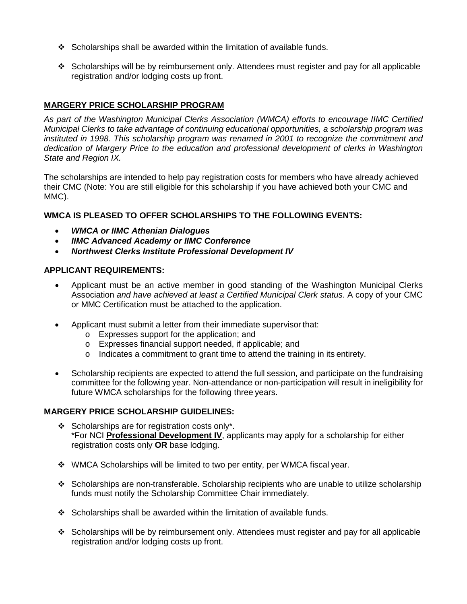- Scholarships shall be awarded within the limitation of available funds.
- $\div$  Scholarships will be by reimbursement only. Attendees must register and pay for all applicable registration and/or lodging costs up front.

# **MARGERY PRICE SCHOLARSHIP PROGRAM**

*As part of the Washington Municipal Clerks Association (WMCA) efforts to encourage IIMC Certified Municipal Clerks to take advantage of continuing educational opportunities, a scholarship program was instituted in 1998. This scholarship program was renamed in 2001 to recognize the commitment and dedication of Margery Price to the education and professional development of clerks in Washington State and Region IX.*

The scholarships are intended to help pay registration costs for members who have already achieved their CMC (Note: You are still eligible for this scholarship if you have achieved both your CMC and MMC).

# **WMCA IS PLEASED TO OFFER SCHOLARSHIPS TO THE FOLLOWING EVENTS:**

- *WMCA or IIMC Athenian Dialogues*
- *IIMC Advanced Academy or IIMC Conference*
- *Northwest Clerks Institute Professional Development IV*

#### **APPLICANT REQUIREMENTS:**

- Applicant must be an active member in good standing of the Washington Municipal Clerks Association *and have achieved at least a Certified Municipal Clerk status*. A copy of your CMC or MMC Certification must be attached to the application.
- Applicant must submit a letter from their immediate supervisor that:
	- o Expresses support for the application; and
	- o Expresses financial support needed, if applicable; and
	- $\circ$  Indicates a commitment to grant time to attend the training in its entirety.
- Scholarship recipients are expected to attend the full session, and participate on the fundraising committee for the following year. Non-attendance or non-participation will result in ineligibility for future WMCA scholarships for the following three years.

#### **MARGERY PRICE SCHOLARSHIP GUIDELINES:**

- $\div$  Scholarships are for registration costs only\*. \*For NCI **Professional Development IV**, applicants may apply for a scholarship for either registration costs only **OR** base lodging.
- WMCA Scholarships will be limited to two per entity, per WMCA fiscal year.
- Scholarships are non-transferable. Scholarship recipients who are unable to utilize scholarship funds must notify the Scholarship Committee Chair immediately.
- $\div$  Scholarships shall be awarded within the limitation of available funds.
- $\div$  Scholarships will be by reimbursement only. Attendees must register and pay for all applicable registration and/or lodging costs up front.